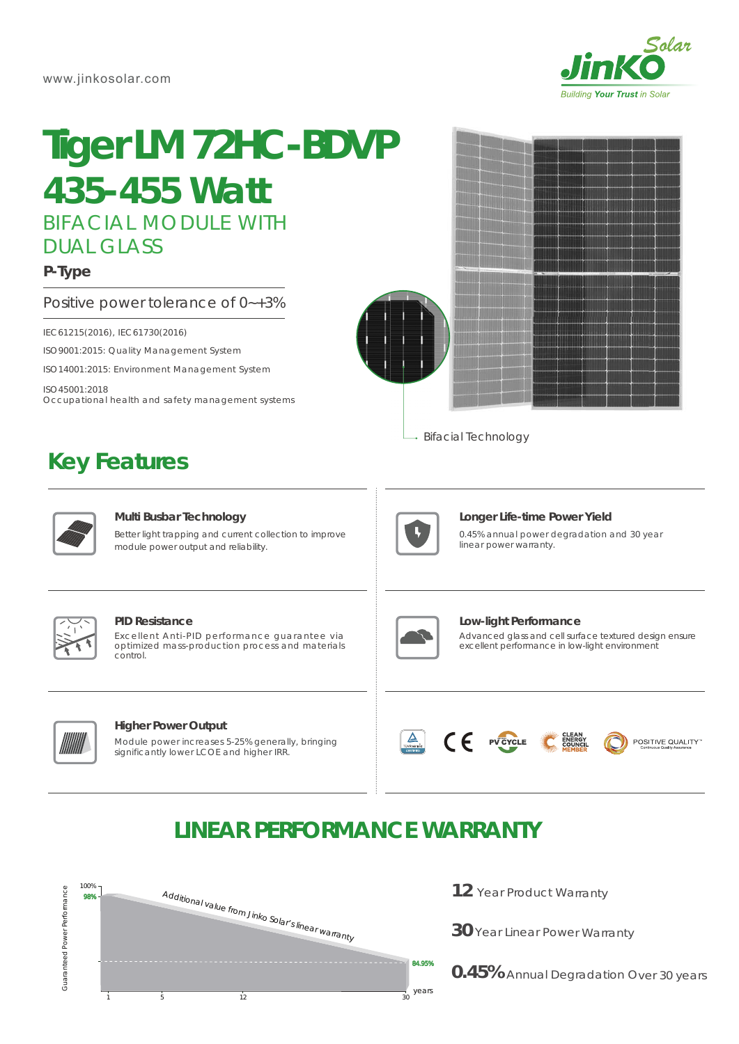

# BIFACIAL MODULE WITH DUAL GLASS **Tiger LM 72HC-BDVP** *435-455 Watt*

### **P-Type**

Positive power tolerance of 0~+3%

IEC61215(2016), IEC61730(2016)

ISO9001:2015: Quality Management System

ISO14001:2015: Environment Management System

ISO45001:2018 Occupational health and safety management systems

### **Key Features**



→ Bifacial Technology



#### **Multi Busbar Technology**

Better light trapping and current collection to improve module power output and reliability.



#### **Longer Life-time Power Yield**

0.45% annual power degradation and 30 year linear power warranty.



#### **PID Resistance**

Excellent Anti-PID performance guarantee via optimized mass-production process and materials control.



#### **Higher Power Output**

Module power increases 5-25% generally, bringing significantly lower LCOE and higher IRR.



Advanced glass and cell surface textured design ensure excellent performance in low-light environment **Low-light Performance**





## **LINEAR PERFORMANCE WARRANTY**



- **12** Year Product Warranty
- **30** Year Linear Power Warranty

**0.45%** Annual Degradation Over 30 years